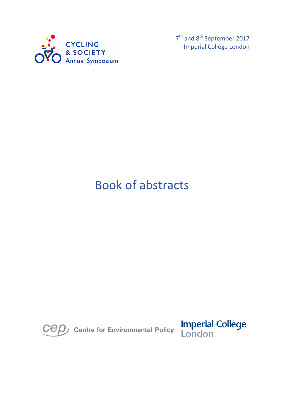

7<sup>th</sup> and 8<sup>th</sup> September 2017 Imperial College London

# Book of abstracts



Cep Centre for Environmental Policy

**Imperial College<br>London**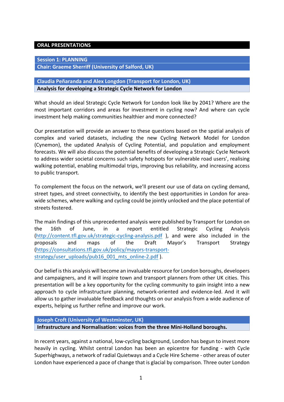# **ORAL PRESENTATIONS**

# **Session 1: PLANNING**

**Chair: Graeme Sherriff (University of Salford, UK)** 

## **Claudia Peñaranda and Alex Longdon (Transport for London, UK)** Analysis for developing a Strategic Cycle Network for London

What should an ideal Strategic Cycle Network for London look like by 2041? Where are the most important corridors and areas for investment in cycling now? And where can cycle investment help making communities healthier and more connected?

Our presentation will provide an answer to these questions based on the spatial analysis of complex and varied datasets, including the new Cycling Network Model for London (Cynemon), the updated Analysis of Cycling Potential, and population and employment forecasts. We will also discuss the potential benefits of developing a Strategic Cycle Network to address wider societal concerns such safety hotspots for vulnerable road users', realising walking potential, enabling multimodal trips, improving bus reliability, and increasing access to public transport.

To complement the focus on the network, we'll present our use of data on cycling demand, street types, and street connectivity, to identify the best opportunities in London for areawide schemes, where walking and cycling could be jointly unlocked and the place potential of streets fostered.

The main findings of this unprecedented analysis were published by Transport for London on the 16th of June, in a report entitled Strategic Cycling Analysis (http://content.tfl.gov.uk/strategic-cycling-analysis.pdf), and were also included in the proposals and maps of the Draft Mayor's Transport Strategy (https://consultations.tfl.gov.uk/policy/mayors-transportstrategy/user\_uploads/pub16\_001\_mts\_online-2.pdf ).

Our belief is this analysis will become an invaluable resource for London boroughs, developers and campaigners, and it will inspire town and transport planners from other UK cities. This presentation will be a key opportunity for the cycling community to gain insight into a new approach to cycle infrastructure planning, network-oriented and evidence-led. And it will allow us to gather invaluable feedback and thoughts on our analysis from a wide audience of experts, helping us further refine and improve our work.

### **Joseph Croft (University of Westminster, UK)**

**Infrastructure and Normalisation: voices from the three Mini-Holland boroughs.** 

In recent years, against a national, low-cycling background, London has begun to invest more heavily in cycling. Whilst central London has been an epicentre for funding - with Cycle Superhighways, a network of radial Quietways and a Cycle Hire Scheme - other areas of outer London have experienced a pace of change that is glacial by comparison. Three outer London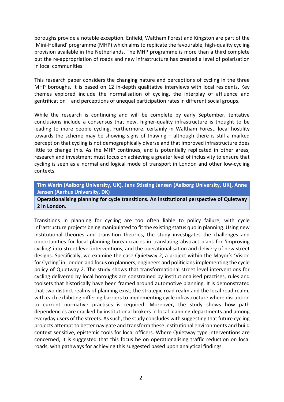boroughs provide a notable exception. Enfield, Waltham Forest and Kingston are part of the 'Mini-Holland' programme (MHP) which aims to replicate the favourable, high-quality cycling provision available in the Netherlands. The MHP programme is more than a third complete but the re-appropriation of roads and new infrastructure has created a level of polarisation in local communities.

This research paper considers the changing nature and perceptions of cycling in the three MHP boroughs. It is based on 12 in-depth qualitative interviews with local residents. Key themes explored include the normalisation of cycling, the interplay of affluence and gentrification – and perceptions of unequal participation rates in different social groups.

While the research is continuing and will be complete by early September, tentative conclusions include a consensus that new, higher-quality infrastructure is thought to be leading to more people cycling. Furthermore, certainly in Waltham Forest, local hostility towards the scheme may be showing signs of thawing  $-$  although there is still a marked perception that cycling is not demographically diverse and that improved infrastructure does little to change this. As the MHP continues, and is potentially replicated in other areas, research and investment must focus on achieving a greater level of inclusivity to ensure that cycling is seen as a normal and logical mode of transport in London and other low-cycling contexts. 

Tim Warin (Aalborg University, UK), Jens Stissing Jensen (Aalborg University, UK), Anne **Jensen (Aarhus University, DK)** 

**Operationalising planning for cycle transitions. An institutional perspective of Quietway 2 in London.**

Transitions in planning for cycling are too often liable to policy failure, with cycle infrastructure projects being manipulated to fit the existing status quo in planning. Using new institutional theories and transition theories, the study investigates the challenges and opportunities for local planning bureaucracies in translating abstract plans for 'improving cycling' into street level interventions, and the operationalisation and delivery of new street designs. Specifically, we examine the case Quietway 2, a project within the Mayor's 'Vision for Cycling' in London and focus on planners, engineers and politicians implementing the cycle policy of Quietway 2. The study shows that transformational street level interventions for cycling delivered by local boroughs are constrained by institutionalised practises, rules and toolsets that historically have been framed around automotive planning. It is demonstrated that two distinct realms of planning exist; the strategic road realm and the local road realm, with each exhibiting differing barriers to implementing cycle infrastructure where disruption to current normative practises is required. Moreover, the study shows how path dependencies are cracked by institutional brokers in local planning departments and among everyday users of the streets. As such, the study concludes with suggesting that future cycling projects attempt to better navigate and transform these institutional environments and build context sensitive, epistemic tools for local officers. Where Quietway type interventions are concerned, it is suggested that this focus be on operationalising traffic reduction on local roads, with pathways for achieving this suggested based upon analytical findings.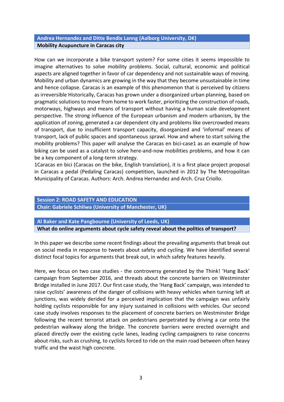# Andrea Hernandez and Ditte Bendix Lanng (Aalborg University, DK) **Mobility Acupuncture in Caracas city**

How can we incorporate a bike transport system? For some cities it seems impossible to imagine alternatives to solve mobility problems. Social, cultural, economic and political aspects are aligned together in favor of car dependency and not sustainable ways of moving. Mobility and urban dynamics are growing in the way that they become unsustainable in time and hence collapse. Caracas is an example of this phenomenon that is perceived by citizens as irreversible Historically, Caracas has grown under a disorganized urban planning, based on pragmatic solutions to move from home to work faster, prioritizing the construction of roads, motorways, highways and means of transport without having a human scale development perspective. The strong influence of the European urbanism and modern urbanism, by the application of zoning, generated a car dependent city and problems like overcrowded means of transport, due to insufficient transport capacity, disorganized and 'informal' means of transport, lack of public spaces and spontaneous sprawl. How and where to start solving the mobility problems? This paper will analyse the Caracas en bici-case1 as an example of how biking can be used as a catalyst to solve here-and-now mobilities problems, and how it can be a key component of a long-term strategy.

1Caracas en bici (Caracas on the bike, English translation), it is a first place project proposal in Caracas a pedal (Pedaling Caracas) competition, launched in 2012 by The Metropolitan Municipality of Caracas. Authors: Arch. Andrea Hernandez and Arch. Cruz Criollo.

# **Session 2: ROAD SAFETY AND EDUCATION Chair: Gabriele Schliwa (University of Manchester, UK)**

Al Baker and Kate Pangbourne (University of Leeds, UK) What do online arguments about cycle safety reveal about the politics of transport?

In this paper we describe some recent findings about the prevailing arguments that break out on social media in response to tweets about safety and cycling. We have identified several distinct focal topics for arguments that break out, in which safety features heavily.

Here, we focus on two case studies - the controversy generated by the Think! 'Hang Back' campaign from September 2016, and threads about the concrete barriers on Westminster Bridge installed in June 2017. Our first case study, the 'Hang Back' campaign, was intended to raise cyclists' awareness of the danger of collisions with heavy vehicles when turning left at junctions, was widely derided for a perceived implication that the campaign was unfairly holding cyclists responsible for any injury sustained in collisions with vehicles. Our second case study involves responses to the placement of concrete barriers on Westminster Bridge following the recent terrorist attack on pedestrians perpetrated by driving a car onto the pedestrian walkway along the bridge. The concrete barriers were erected overnight and placed directly over the existing cycle lanes, leading cycling campaigners to raise concerns about risks, such as crushing, to cyclists forced to ride on the main road between often heavy traffic and the waist high concrete.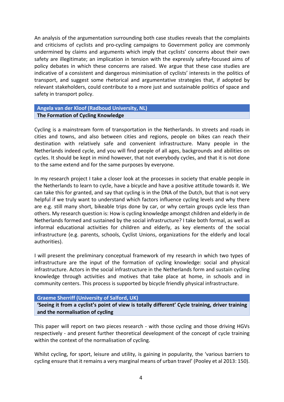An analysis of the argumentation surrounding both case studies reveals that the complaints and criticisms of cyclists and pro-cycling campaigns to Government policy are commonly undermined by claims and arguments which imply that cyclists' concerns about their own safety are illegitimate; an implication in tension with the expressly safety-focused aims of policy debates in which these concerns are raised. We argue that these case studies are indicative of a consistent and dangerous minimisation of cyclists' interests in the politics of transport, and suggest some rhetorical and argumentative strategies that, if adopted by relevant stakeholders, could contribute to a more just and sustainable politics of space and safety in transport policy.

**Angela van der Kloof (Radboud University, NL) The Formation of Cycling Knowledge** 

Cycling is a mainstream form of transportation in the Netherlands. In streets and roads in cities and towns, and also between cities and regions, people on bikes can reach their destination with relatively safe and convenient infrastructure. Many people in the Netherlands indeed cycle, and you will find people of all ages, backgrounds and abilities on cycles. It should be kept in mind however, that not everybody cycles, and that it is not done to the same extend and for the same purposes by everyone.

In my research project I take a closer look at the processes in society that enable people in the Netherlands to learn to cycle, have a bicycle and have a positive attitude towards it. We can take this for granted, and say that cycling is in the DNA of the Dutch, but that is not very helpful if we truly want to understand which factors influence cycling levels and why there are e.g. still many short, bikeable trips done by car, or why certain groups cycle less than others. My research question is: How is cycling knowledge amongst children and elderly in de Netherlands formed and sustained by the social infrastructure? I take both formal, as well as informal educational activities for children and elderly, as key elements of the social infrastructure (e.g. parents, schools, Cyclist Unions, organizations for the elderly and local authorities).

I will present the preliminary conceptual framework of my research in which two types of infrastructure are the input of the formation of cycling knowledge: social and physical infrastructure. Actors in the social infrastructure in the Netherlands form and sustain cycling knowledge through activities and motives that take place at home, in schools and in community centers. This process is supported by bicycle friendly physical infrastructure.

**Graeme Sherriff (University of Salford, UK)** 

'Seeing it from a cyclist's point of view is totally different' Cycle training, driver training and the normalisation of cycling

This paper will report on two pieces research - with those cycling and those driving HGVs respectively - and present further theoretical development of the concept of cycle training within the context of the normalisation of cycling.

Whilst cycling, for sport, leisure and utility, is gaining in popularity, the 'various barriers to cycling ensure that it remains a very marginal means of urban travel' (Pooley et al 2013: 150).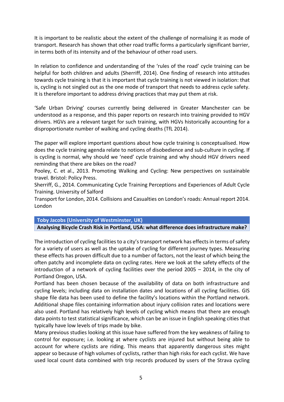It is important to be realistic about the extent of the challenge of normalising it as mode of transport. Research has shown that other road traffic forms a particularly significant barrier, in terms both of its intensity and of the behaviour of other road users.

In relation to confidence and understanding of the 'rules of the road' cycle training can be helpful for both children and adults (Sherriff, 2014). One finding of research into attitudes towards cycle training is that it is important that cycle training is not viewed in isolation: that is, cycling is not singled out as the one mode of transport that needs to address cycle safety. It is therefore important to address driving practices that may put them at risk.

'Safe Urban Driving' courses currently being delivered in Greater Manchester can be understood as a response, and this paper reports on research into training provided to HGV drivers. HGVs are a relevant target for such training, with HGVs historically accounting for a disproportionate number of walking and cycling deaths (TfL 2014).

The paper will explore important questions about how cycle training is conceptualised. How does the cycle training agenda relate to notions of disobedience and sub-culture in cycling. If is cycling is normal, why should we 'need' cycle training and why should HGV drivers need reminding that there are bikes on the road?

Pooley, C. et al., 2013. Promoting Walking and Cycling: New perspectives on sustainable travel. Bristol: Policy Press.

Sherriff, G., 2014. Communicating Cycle Training Perceptions and Experiences of Adult Cycle Training. University of Salford

Transport for London, 2014. Collisions and Casualties on London's roads: Annual report 2014. London

# **Toby Jacobs (University of Westminster, UK)**

### Analysing Bicycle Crash Risk in Portland, USA: what difference does infrastructure make?

The introduction of cycling facilities to a city's transport network has effects in terms of safety for a variety of users as well as the uptake of cycling for different journey types. Measuring these effects has proven difficult due to a number of factors, not the least of which being the often patchy and incomplete data on cycling rates. Here we look at the safety effects of the introduction of a network of cycling facilities over the period  $2005 - 2014$ , in the city of Portland Oregon, USA.

Portland has been chosen because of the availability of data on both infrastructure and cycling levels; including data on installation dates and locations of all cycling facilities. GIS shape file data has been used to define the facility's locations within the Portland network. Additional shape files containing information about injury collision rates and locations were also used. Portland has relatively high levels of cycling which means that there are enough data points to test statistical significance, which can be an issue in English speaking cities that typically have low levels of trips made by bike.

Many previous studies looking at this issue have suffered from the key weakness of failing to control for exposure; i.e. looking at where cyclists are injured but without being able to account for where cyclists are riding. This means that apparently dangerous sites might appear so because of high volumes of cyclists, rather than high risks for each cyclist. We have used local count data combined with trip records produced by users of the Strava cycling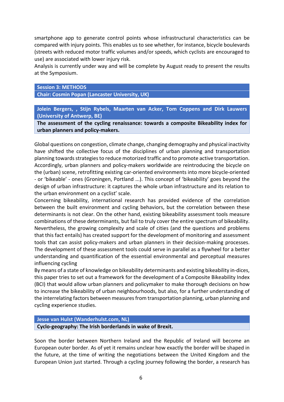smartphone app to generate control points whose infrastructural characteristics can be compared with injury points. This enables us to see whether, for instance, bicycle boulevards (streets with reduced motor traffic volumes and/or speeds, which cyclists are encouraged to use) are associated with lower injury risk.

Analysis is currently under way and will be complete by August ready to present the results at the Symposium.

#### **Session 3: METHODS**

**Chair: Cosmin Popan (Lancaster University, UK)** 

Jolein Bergers, , Stijn Rybels, Maarten van Acker, Tom Coppens and Dirk Lauwers **(University of Antwerp, BE)** 

The assessment of the cycling renaissance: towards a composite Bikeability index for **urban planners and policy-makers.**

Global questions on congestion, climate change, changing demography and physical inactivity have shifted the collective focus of the disciplines of urban planning and transportation planning towards strategies to reduce motorized traffic and to promote active transportation. Accordingly, urban planners and policy-makers worldwide are reintroducing the bicycle on the (urban) scene, retrofitting existing car-oriented environments into more bicycle-oriented - or 'bikeable' - ones (Groningen, Portland ...). This concept of 'bikeability' goes beyond the design of urban infrastructure: it captures the whole urban infrastructure and its relation to the urban environment on a cyclist' scale.

Concerning bikeability, international research has provided evidence of the correlation between the built environment and cycling behaviors, but the correlation between these determinants is not clear. On the other hand, existing bikeability assessment tools measure combinations of these determinants, but fail to truly cover the entire spectrum of bikeability. Nevertheless, the growing complexity and scale of cities (and the questions and problems that this fact entails) has created support for the development of monitoring and assessment tools that can assist policy-makers and urban planners in their decision-making processes. The development of these assessment tools could serve in parallel as a flywheel for a better understanding and quantification of the essential environmental and perceptual measures influencing cycling

By means of a state of knowledge on bikeability determinants and existing bikeability in-dices, this paper tries to set out a framework for the development of a Composite Bikeability Index (BCI) that would allow urban planners and policymaker to make thorough decisions on how to increase the bikeability of urban neighbourhoods, but also, for a further understanding of the interrelating factors between measures from transportation planning, urban planning and cycling experience studies.

### **Jesse van Hulst (Wanderhulst.com, NL)**

Cyclo-geography: The Irish borderlands in wake of Brexit.

Soon the border between Northern Ireland and the Republic of Ireland will become an European outer border. As of yet it remains unclear how exactly the border will be shaped in the future, at the time of writing the negotiations between the United Kingdom and the European Union just started. Through a cycling journey following the border, a research has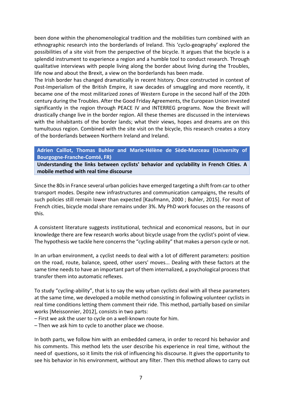been done within the phenomenological tradition and the mobilities turn combined with an ethnographic research into the borderlands of Ireland. This 'cyclo-geography' explored the possibilities of a site visit from the perspective of the bicycle. It argues that the bicycle is a splendid instrument to experience a region and a humble tool to conduct research. Through qualitative interviews with people living along the border about living during the Troubles, life now and about the Brexit, a view on the borderlands has been made.

The Irish border has changed dramatically in recent history. Once constructed in context of Post-Imperialism of the British Empire, it saw decades of smuggling and more recently, it became one of the most militarized zones of Western Europe in the second half of the 20th century during the Troubles. After the Good Friday Agreements, the European Union invested significantly in the region through PEACE IV and INTERREG programs. Now the Brexit will drastically change live in the border region. All these themes are discussed in the interviews with the inhabitants of the border lands; what their views, hopes and dreams are on this tumultuous region. Combined with the site visit on the bicycle, this research creates a story of the borderlands between Northern Ireland and Ireland.

# Adrien Caillot, Thomas Buhler and Marie-Hélène de Sède-Marceau (University of **Bourgogne-Franche-Comté, FR)**

Understanding the links between cyclists' behavior and cyclability in French Cities. A **mobile method with real time discourse**

Since the 80s in France several urban policies have emerged targeting a shift from car to other transport modes. Despite new infrastructures and communication campaigns, the results of such policies still remain lower than expected [Kaufmann, 2000 ; Buhler, 2015]. For most of French cities, bicycle modal share remains under 3%. My PhD work focuses on the reasons of this.

A consistent literature suggests institutional, technical and economical reasons, but in our knowledge there are few research works about bicycle usage from the cyclist's point of view. The hypothesis we tackle here concerns the "cycling-ability" that makes a person cycle or not.

In an urban environment, a cyclist needs to deal with a lot of different parameters: position on the road, route, balance, speed, other users' moves... Dealing with these factors at the same time needs to have an important part of them internalized, a psychological process that transfer them into automatic reflexes.

To study "cycling-ability", that is to say the way urban cyclists deal with all these parameters at the same time, we developed a mobile method consisting in following volunteer cyclists in real time conditions letting them comment their ride. This method, partially based on similar works [Meissonnier, 2012], consists in two parts:

- $-$  First we ask the user to cycle on a well-known route for him.
- Then we ask him to cycle to another place we choose.

In both parts, we follow him with an embedded camera, in order to record his behavior and his comments. This method lets the user describe his experience in real time, without the need of questions, so it limits the risk of influencing his discourse. It gives the opportunity to see his behavior in his environment, without any filter. Then this method allows to carry out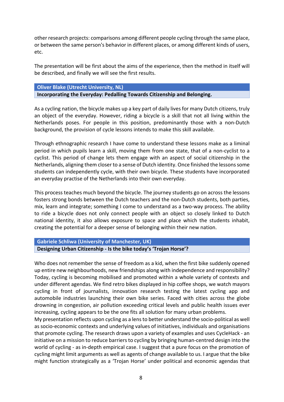other research projects: comparisons among different people cycling through the same place, or between the same person's behavior in different places, or among different kinds of users, etc.

The presentation will be first about the aims of the experience, then the method in itself will be described, and finally we will see the first results.

#### **Oliver Blake (Utrecht University, NL)**

**Incorporating the Everyday: Pedalling Towards Citizenship and Belonging.** 

As a cycling nation, the bicycle makes up a key part of daily lives for many Dutch citizens, truly an object of the everyday. However, riding a bicycle is a skill that not all living within the Netherlands poses. For people in this position, predominantly those with a non-Dutch background, the provision of cycle lessons intends to make this skill available.

Through ethnographic research I have come to understand these lessons make as a liminal period in which pupils learn a skill, moving them from one state, that of a non-cyclist to a cyclist. This period of change lets them engage with an aspect of social citizenship in the Netherlands, aligning them closer to a sense of Dutch identity. Once finished the lessons some students can independently cycle, with their own bicycle. These students have incorporated an everyday practise of the Netherlands into their own everyday.

This process teaches much beyond the bicycle. The journey students go on across the lessons fosters strong bonds between the Dutch teachers and the non-Dutch students, both parties, mix, learn and integrate; something I come to understand as a two-way process. The ability to ride a bicycle does not only connect people with an object so closely linked to Dutch national identity, it also allows exposure to space and place which the students inhabit, creating the potential for a deeper sense of belonging within their new nation.

**Gabriele Schliwa (University of Manchester, UK)** Designing Urban Citizenship - Is the bike today's 'Trojan Horse'?

Who does not remember the sense of freedom as a kid, when the first bike suddenly opened up entire new neighbourhoods, new friendships along with independence and responsibility? Today, cycling is becoming mobilised and promoted within a whole variety of contexts and under different agendas. We find retro bikes displayed in hip coffee shops, we watch mayors cycling in front of journalists, innovation research testing the latest cycling app and automobile industries launching their own bike series. Faced with cities across the globe drowning in congestion, air pollution exceeding critical levels and public health issues ever increasing, cycling appears to be the one fits all solution for many urban problems.

My presentation reflects upon cycling as a lens to better understand the socio-political as well as socio-economic contexts and underlying values of initiatives, individuals and organisations that promote cycling. The research draws upon a variety of examples and uses CycleHack - an initiative on a mission to reduce barriers to cycling by bringing human-centred design into the world of cycling - as in-depth empirical case. I suggest that a pure focus on the promotion of cycling might limit arguments as well as agents of change available to us. I argue that the bike might function strategically as a 'Trojan Horse' under political and economic agendas that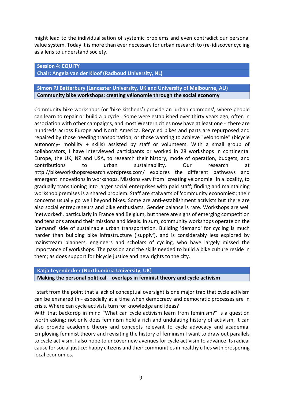might lead to the individualisation of systemic problems and even contradict our personal value system. Today it is more than ever necessary for urban research to (re-)discover cycling as a lens to understand society.

#### **Session 4: EQUITY**

**Chair: Angela van der Kloof (Radboud University, NL)** 

# **Simon PJ Batterbury (Lancaster University, UK and University of Melbourne, AU) Community bike workshops: creating vélonomie through the social economy**

Community bike workshops (or 'bike kitchens') provide an 'urban commons', where people can learn to repair or build a bicycle. Some were established over thirty years ago, often in association with other campaigns, and most Western cities now have at least one - there are hundreds across Europe and North America. Recycled bikes and parts are repurposed and repaired by those needing transportation, or those wanting to achieve "vélonomie" (bicycle autonomy- mobility  $+$  skills) assisted by staff or volunteers. With a small group of collaborators, I have interviewed participants or worked in 28 workshops in continental Europe, the UK, NZ and USA, to research their history, mode of operation, budgets, and contributions to urban sustainability. Our research at http://bikeworkshopsresearch.wordpress.com/ explores the different pathways and emergent innovations in workshops. Missions vary from "creating vélonomie" in a locality, to gradually transitioning into larger social enterprises with paid staff; finding and maintaining workshop premises is a shared problem. Staff are stalwarts of 'community economies'; their concerns usually go well beyond bikes. Some are anti-establishment activists but there are also social entrepreneurs and bike enthusiasts. Gender balance is rare. Workshops are well 'networked', particularly in France and Belgium, but there are signs of emerging competition and tensions around their missions and ideals. In sum, community workshops operate on the 'demand' side of sustainable urban transportation. Building 'demand' for cycling is much harder than building bike infrastructure ('supply'), and is considerably less explored by mainstream planners, engineers and scholars of cycling, who have largely missed the importance of workshops. The passion and the skills needed to build a bike culture reside in them; as does support for bicycle justice and new rights to the city.

#### **Katja Leyendecker (Northumbria University, UK)**

**Making the personal political – overlaps in feminist theory and cycle activism** 

I start from the point that a lack of conceptual oversight is one major trap that cycle activism can be ensnared in - especially at a time when democracy and democratic processes are in crisis. Where can cycle activists turn for knowledge and ideas?

With that backdrop in mind "What can cycle activism learn from feminism?" is a question worth asking: not only does feminism hold a rich and undulating history of activism, it can also provide academic theory and concepts relevant to cycle advocacy and academia. Employing feminist theory and revisiting the history of feminism I want to draw out parallels to cycle activism. I also hope to uncover new avenues for cycle activism to advance its radical cause for social justice: happy citizens and their communities in healthy cities with prospering local economies.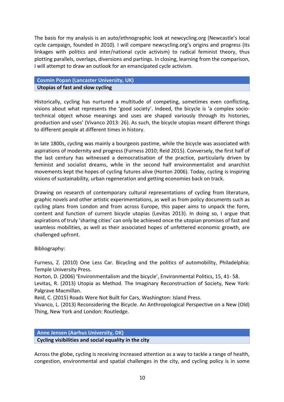The basis for my analysis is an auto/ethnographic look at newcycling.org (Newcastle's local cycle campaign, founded in 2010). I will compare newcycling.org's origins and progress (its linkages with politics and inter/national cycle activism) to radical feminist theory, thus plotting parallels, overlaps, diversions and partings. In closing, learning from the comparison, I will attempt to draw an outlook for an emancipated cycle activism.

# **Cosmin Popan (Lancaster University, UK) Utopias of fast and slow cycling**

Historically, cycling has nurtured a multitude of competing, sometimes even conflicting, visions about what represents the 'good society'. Indeed, the bicycle is 'a complex sociotechnical object whose meanings and uses are shaped variously through its histories, production and uses' (Vivanco 2013: 26). As such, the bicycle utopias meant different things to different people at different times in history.

In late 1800s, cycling was mainly a bourgeois pastime, while the bicycle was associated with aspirations of modernity and progress (Furness 2010; Reid 2015). Conversely, the first half of the last century has witnessed a democratisation of the practice, particularly driven by feminist and socialist dreams, while in the second half environmentalist and anarchist movements kept the hopes of cycling futures alive (Horton 2006). Today, cycling is inspiring visions of sustainability, urban regeneration and getting economies back on track.

Drawing on research of contemporary cultural representations of cycling from literature, graphic novels and other artistic experimentations, as well as from policy documents such as cycling plans from London and from across Europe, this paper aims to unpack the form, content and function of current bicycle utopias (Levitas 2013). In doing so, I argue that aspirations of truly 'sharing cities' can only be achieved once the utopian promises of fast and seamless mobilities, as well as their associated hopes of unfettered economic growth, are challenged upfront.

Bibliography:

Furness, Z. (2010) One Less Car. Bicycling and the politics of automobility, Philadelphia: Temple University Press.

Horton, D. (2006) 'Environmentalism and the bicycle', Environmental Politics, 15, 41-58.

Levitas, R. (2013) Utopia as Method. The Imaginary Reconstruction of Society, New York: Palgrave Macmillan.

Reid, C. (2015) Roads Were Not Built for Cars, Washington: Island Press.

Vivanco, L. (2013) Reconsidering the Bicycle. An Anthropological Perspective on a New (Old) Thing, New York and London: Routledge.

# **Anne Jensen (Aarhus University, DK)**

Cycling visibilities and social equality in the city

Across the globe, cycling is receiving increased attention as a way to tackle a range of health, congestion, environmental and spatial challenges in the city, and cycling policy is in some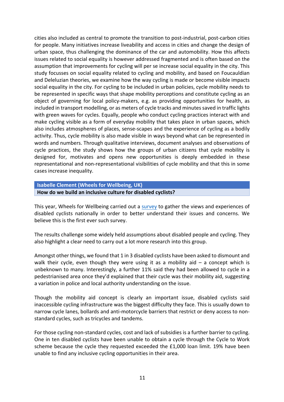cities also included as central to promote the transition to post-industrial, post-carbon cities for people. Many initiatives increase liveability and access in cities and change the design of urban space, thus challenging the dominance of the car and automobility. How this affects issues related to social equality is however addressed fragmented and is often based on the assumption that improvements for cycling will per se increase social equality in the city. This study focusses on social equality related to cycling and mobility, and based on Foucauldian and Deleluzian theories, we examine how the way cycling is made or become visible impacts social equality in the city. For cycling to be included in urban policies, cycle mobility needs to be represented in specific ways that shape mobility perceptions and constitute cycling as an object of governing for local policy-makers, e.g. as providing opportunities for health, as included in transport modelling, or as meters of cycle tracks and minutes saved in traffic lights with green waves for cycles. Equally, people who conduct cycling practices interact with and make cycling visible as a form of everyday mobility that takes place in urban spaces, which also includes atmospheres of places, sense-scapes and the experience of cycling as a bodily activity. Thus, cycle mobility is also made visible in ways beyond what can be represented in words and numbers. Through qualitative interviews, document analyses and observations of cycle practices, the study shows how the groups of urban citizens that cycle mobility is designed for, motivates and opens new opportunities is deeply embedded in these representational and non-representational visibilities of cycle mobility and that this in some cases increase inequality.

# **Isabelle Clement (Wheels for Wellbeing, UK)** How do we build an inclusive culture for disabled cyclists?

This year, Wheels for Wellbeing carried out a survey to gather the views and experiences of disabled cyclists nationally in order to better understand their issues and concerns. We believe this is the first ever such survey.

The results challenge some widely held assumptions about disabled people and cycling. They also highlight a clear need to carry out a lot more research into this group.

Amongst other things, we found that 1 in 3 disabled cyclists have been asked to dismount and walk their cycle, even though they were using it as a mobility aid  $-$  a concept which is unbeknown to many. Interestingly, a further 11% said they had been allowed to cycle in a pedestrianised area once they'd explained that their cycle was their mobility aid, suggesting a variation in police and local authority understanding on the issue.

Though the mobility aid concept is clearly an important issue, disabled cyclists said inaccessible cycling infrastructure was the biggest difficulty they face. This is usually down to narrow cycle lanes, bollards and anti-motorcycle barriers that restrict or deny access to nonstandard cycles, such as tricycles and tandems.

For those cycling non-standard cycles, cost and lack of subsidies is a further barrier to cycling. One in ten disabled cyclists have been unable to obtain a cycle through the Cycle to Work scheme because the cycle they requested exceeded the  $£1,000$  loan limit. 19% have been unable to find any inclusive cycling opportunities in their area.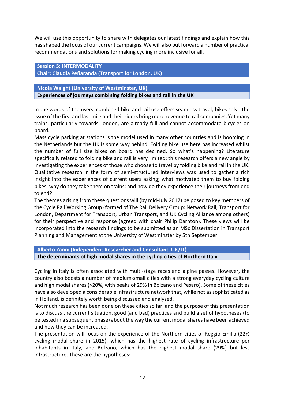We will use this opportunity to share with delegates our latest findings and explain how this has shaped the focus of our current campaigns. We will also put forward a number of practical recommendations and solutions for making cycling more inclusive for all.

# **Session 5: INTERMODALITY**

**Chair: Claudia Peñaranda (Transport for London, UK)** 

**Nicola Waight (University of Westminster, UK) Experiences of journeys combining folding bikes and rail in the UK** 

In the words of the users, combined bike and rail use offers seamless travel; bikes solve the issue of the first and last mile and their riders bring more revenue to rail companies. Yet many trains, particularly towards London, are already full and cannot accommodate bicycles on board. 

Mass cycle parking at stations is the model used in many other countries and is booming in the Netherlands but the UK is some way behind. Folding bike use here has increased whilst the number of full size bikes on board has declined. So what's happening? Literature specifically related to folding bike and rail is very limited; this research offers a new angle by investigating the experiences of those who choose to travel by folding bike and rail in the UK. Qualitative research in the form of semi-structured interviews was used to gather a rich insight into the experiences of current users asking; what motivated them to buy folding bikes; why do they take them on trains; and how do they experience their journeys from end to end?

The themes arising from these questions will (by mid-July 2017) be posed to key members of the Cycle Rail Working Group (formed of The Rail Delivery Group: Network Rail, Transport for London, Department for Transport, Urban Transport, and UK Cycling Alliance among others) for their perspective and response (agreed with chair Philip Darnton). These views will be incorporated into the research findings to be submitted as an MSc Dissertation in Transport Planning and Management at the University of Westminster by 5th September.

**Alberto Zanni (Independent Researcher and Consultant, UK/IT)** 

The determinants of high modal shares in the cycling cities of Northern Italy

Cycling in Italy is often associated with multi-stage races and alpine passes. However, the country also boosts a number of medium-small cities with a strong everyday cycling culture and high modal shares (>20%, with peaks of 29% in Bolzano and Pesaro). Some of these cities have also developed a considerable infrastructure network that, while not as sophisticated as in Holland, is definitely worth being discussed and analysed.

Not much research has been done on these cities so far, and the purpose of this presentation is to discuss the current situation, good (and bad) practices and build a set of hypotheses (to be tested in a subsequent phase) about the way the current modal shares have been achieved and how they can be increased.

The presentation will focus on the experience of the Northern cities of Reggio Emilia (22%) cycling modal share in 2015), which has the highest rate of cycling infrastructure per inhabitants in Italy, and Bolzano, which has the highest modal share (29%) but less infrastructure. These are the hypotheses: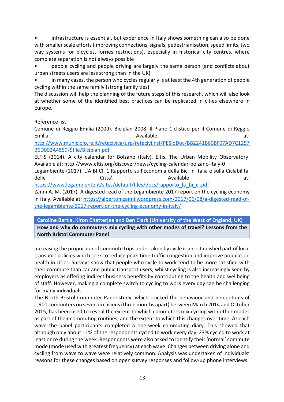infrastructure is essential, but experience in Italy shows something can also be done with smaller scale efforts (improving connections, signals, pedestrianisation, speed limits, two way systems for bicycles, lorries restrictions), especially in historical city centres, where complete separation is not always possible

people cycling and people driving are largely the same person (and conflicts about urban streets users are less strong than in the UK)

in many cases, the person who cycles regularly is at least the 4th generation of people cycling within the same family (strong family ties)

The discussion will help the planning of the future steps of this research, which will also look at whether some of the identified best practices can be replicated in cities elsewhere in Europe. 

Reference list:

Comune di Reggio Emilia (2009). Biciplan 2008. Il Piano Ciclistico per il Comune di Reggio Emilia. Available at: 

http://www.municipio.re.it/retecivica/urp/retecivi.nsf/PESIdDoc/BB2241B60BF07AD7C1257 B6D002A4559/\$file/Biciplan.pdf

ELTIS (2014). A city calendar for Bolzano (Italy). Eltis. The Urban Mobility Observatory. Available at: http://www.eltis.org/discover/news/cycling-calendar-bolzano-italy-0

Legambiente (2017). L'A BI CI. 1 Rapporto sull'Economia della Bici in Italia e sulla Ciclabilita' delle Citta'. Available at: 

https://www.legambiente.it/sites/default/files/docs/rapporto\_la\_bi\_ci.pdf

Zanni A. M. (2017). A digested read of the Legambiente 2017 report on the cycling economy in Italy. Available at: https://albertomzanni.wordpress.com/2017/06/08/a-digested-read-ofthe-legambiente-2017-report-on-the-cycling-economy-in-italy/

Caroline Bartle, Kiron Chatterjee and Ben Clark (University of the West of England, UK) How and why do commuters mix cycling with other modes of travel? Lessons from the **North Bristol Commuter Panel** 

Increasing the proportion of commute trips undertaken by cycle is an established part of local transport policies which seek to reduce peak-time traffic congestion and improve population health in cities. Surveys show that people who cycle to work tend to be more satisfied with their commute than car and public transport users, whilst cycling is also increasingly seen by employers as offering indirect business benefits by contributing to the health and wellbeing of staff. However, making a complete switch to cycling to work every day can be challenging for many individuals.

The North Bristol Commuter Panel study, which tracked the behaviour and perceptions of 1,900 commuters on seven occasions (three months apart) between March 2014 and October 2015, has been used to reveal the extent to which commuters mix cycling with other modes as part of their commuting routines, and the extent to which this changes over time. At each wave the panel participants completed a one-week commuting diary. This showed that although only about 11% of the respondents cycled to work every day, 23% cycled to work at least once during the week. Respondents were also asked to identify their 'normal' commute mode (mode used with greatest frequency) at each wave. Changes between driving alone and cycling from wave to wave were relatively common. Analysis was undertaken of individuals' reasons for these changes based on open survey responses and follow-up phone interviews.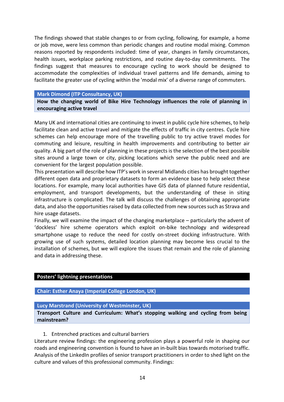The findings showed that stable changes to or from cycling, following, for example, a home or job move, were less common than periodic changes and routine modal mixing. Common reasons reported by respondents included: time of year, changes in family circumstances, health issues, workplace parking restrictions, and routine day-to-day commitments. The findings suggest that measures to encourage cycling to work should be designed to accommodate the complexities of individual travel patterns and life demands, aiming to facilitate the greater use of cycling within the 'modal mix' of a diverse range of commuters.

#### **Mark Dimond (ITP Consultancy, UK)**

How the changing world of Bike Hire Technology influences the role of planning in **encouraging active travel**

Many UK and international cities are continuing to invest in public cycle hire schemes, to help facilitate clean and active travel and mitigate the effects of traffic in city centres. Cycle hire schemes can help encourage more of the travelling public to try active travel modes for commuting and leisure, resulting in health improvements and contributing to better air quality. A big part of the role of planning in these projects is the selection of the best possible sites around a large town or city, picking locations which serve the public need and are convenient for the largest population possible.

This presentation will describe how ITP's work in several Midlands cities has brought together different open data and proprietary datasets to form an evidence base to help select these locations. For example, many local authorities have GIS data of planned future residential, employment, and transport developments, but the understanding of these in siting infrastructure is complicated. The talk will discuss the challenges of obtaining appropriate data, and also the opportunities raised by data collected from new sources such as Strava and hire usage datasets.

Finally, we will examine the impact of the changing marketplace  $-$  particularly the advent of 'dockless' hire scheme operators which exploit on-bike technology and widespread smartphone usage to reduce the need for costly on-street docking infrastructure. With growing use of such systems, detailed location planning may become less crucial to the installation of schemes, but we will explore the issues that remain and the role of planning and data in addressing these.

## **Posters' lightning presentations**

### **Chair: Esther Anaya (Imperial College London, UK)**

#### **Lucy Marstrand (University of Westminster, UK)**

Transport Culture and Curriculum: What's stopping walking and cycling from being **mainstream?**

### 1. Entrenched practices and cultural barriers

Literature review findings: the engineering profession plays a powerful role in shaping our roads and engineering convention is found to have an in-built bias towards motorised traffic. Analysis of the LinkedIn profiles of senior transport practitioners in order to shed light on the culture and values of this professional community. Findings: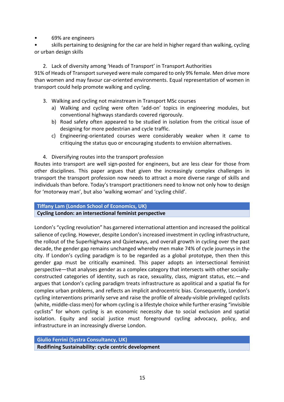69% are engineers

skills pertaining to designing for the car are held in higher regard than walking, cycling or urban design skills

2. Lack of diversity among 'Heads of Transport' in Transport Authorities

91% of Heads of Transport surveyed were male compared to only 9% female. Men drive more than women and may favour car-oriented environments. Equal representation of women in transport could help promote walking and cycling.

- 3. Walking and cycling not mainstream in Transport MSc courses
	- a) Walking and cycling were often 'add-on' topics in engineering modules, but conventional highways standards covered rigorously.
	- b) Road safety often appeared to be studied in isolation from the critical issue of designing for more pedestrian and cycle traffic.
	- c) Engineering-orientated courses were considerably weaker when it came to critiquing the status quo or encouraging students to envision alternatives.
- 4. Diversifying routes into the transport profession

Routes into transport are well sign-posted for engineers, but are less clear for those from other disciplines. This paper argues that given the increasingly complex challenges in transport the transport profession now needs to attract a more diverse range of skills and individuals than before. Today's transport practitioners need to know not only how to design for 'motorway man', but also 'walking woman' and 'cycling child'.

# **Tiffany Lam (London School of Economics, UK)**

# **Cycling London: an intersectional feminist perspective**

London's "cycling revolution" has garnered international attention and increased the political salience of cycling. However, despite London's increased investment in cycling infrastructure, the rollout of the Superhighways and Quietways, and overall growth in cycling over the past decade, the gender gap remains unchanged whereby men make 74% of cycle journeys in the city. If London's cycling paradigm is to be regarded as a global prototype, then then this gender gap must be critically examined. This paper adopts an intersectional feminist perspective—that analyses gender as a complex category that intersects with other sociallyconstructed categories of identity, such as race, sexuality, class, migrant status, etc.-and argues that London's cycling paradigm treats infrastructure as apolitical and a spatial fix for complex urban problems, and reflects an implicit androcentric bias. Consequently, London's cycling interventions primarily serve and raise the profile of already-visible privileged cyclists (white, middle-class men) for whom cycling is a lifestyle choice while further erasing "invisible cyclists" for whom cycling is an economic necessity due to social exclusion and spatial isolation. Equity and social justice must foreground cycling advocacy, policy, and infrastructure in an increasingly diverse London.

# **Giulio Ferrini (Systra Consultancy, UK) Redifining Sustainability: cycle centric development**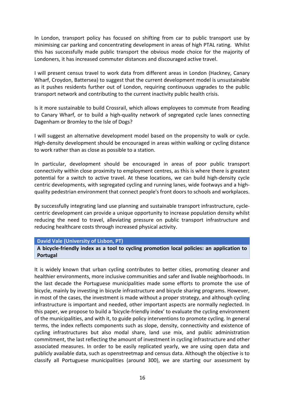In London, transport policy has focused on shifting from car to public transport use by minimising car parking and concentrating development in areas of high PTAL rating. Whilst this has successfully made public transport the obvious mode choice for the majority of Londoners, it has increased commuter distances and discouraged active travel.

I will present census travel to work data from different areas in London (Hackney, Canary Wharf, Croydon, Battersea) to suggest that the current development model is unsustainable as it pushes residents further out of London, requiring continuous upgrades to the public transport network and contributing to the current inactivity public health crisis.

Is it more sustainable to build Crossrail, which allows employees to commute from Reading to Canary Wharf, or to build a high-quality network of segregated cycle lanes connecting Dagenham or Bromley to the Isle of Dogs?

I will suggest an alternative development model based on the propensity to walk or cycle. High-density development should be encouraged in areas within walking or cycling distance to work rather than as close as possible to a station.

In particular, development should be encouraged in areas of poor public transport connectivity within close proximity to employment centres, as this is where there is greatest potential for a switch to active travel. At these locations, we can build high-density cycle centric developments, with segregated cycling and running lanes, wide footways and a highquality pedestrian environment that connect people's front doors to schools and workplaces.

By successfully integrating land use planning and sustainable transport infrastructure, cyclecentric development can provide a unique opportunity to increase population density whilst reducing the need to travel, alleviating pressure on public transport infrastructure and reducing healthcare costs through increased physical activity.

### **David Vale (University of Lisbon, PT)**

A bicycle-friendly index as a tool to cycling promotion local policies: an application to **Portugal**

It is widely known that urban cycling contributes to better cities, promoting cleaner and healthier environments, more inclusive communities and safer and livable neighborhoods. In the last decade the Portuguese municipalities made some efforts to promote the use of bicycle, mainly by investing in bicycle infrastructure and bicycle sharing programs. However, in most of the cases, the investment is made without a proper strategy, and although cycling infrastructure is important and needed, other important aspects are normally neglected. In this paper, we propose to build a 'bicycle-friendly index' to evaluate the cycling environment of the municipalities, and with it, to guide policy interventions to promote cycling. In general terms, the index reflects components such as slope, density, connectivity and existence of cycling infrastructures but also modal share, land use mix, and public administration commitment, the last reflecting the amount of investment in cycling infrastructure and other associated measures. In order to be easily replicated yearly, we are using open data and publicly available data, such as openstreetmap and census data. Although the objective is to classify all Portuguese municipalities (around 300), we are starting our assessment by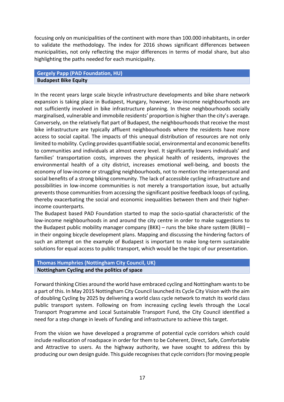focusing only on municipalities of the continent with more than 100.000 inhabitants, in order to validate the methodology. The index for 2016 shows significant differences between municipalities, not only reflecting the major differences in terms of modal share, but also highlighting the paths needed for each municipality.

# **Gergely Papp (PAD Foundation, HU) Budapest Bike Equity**

In the recent years large scale bicycle infrastructure developments and bike share network expansion is taking place in Budapest, Hungary, however, low-income neighbourhoods are not sufficiently involved in bike infrastructure planning. In these neighbourhoods socially marginalised, vulnerable and immobile residents' proportion is higher than the city's average. Conversely, on the relatively flat part of Budapest, the neighbourhoods that receive the most bike infrastructure are typically affluent neighbourhoods where the residents have more access to social capital. The impacts of this unequal distribution of resources are not only limited to mobility. Cycling provides quantifiable social, environmental and economic benefits to communities and individuals at almost every level. It significantly lowers individuals' and families' transportation costs, improves the physical health of residents, improves the environmental health of a city district, increases emotional well-being, and boosts the economy of low-income or struggling neighbourhoods, not to mention the interpersonal and social benefits of a strong biking community. The lack of accessible cycling infrastructure and possibilities in low-income communities is not merely a transportation issue, but actually prevents those communities from accessing the significant positive feedback loops of cycling, thereby exacerbating the social and economic inequalities between them and their higherincome counterparts.

The Budapest based PAD Foundation started to map the socio-spatial characteristic of the low-income neighbourhoods in and around the city centre in order to make suggestions to the Budapest public mobility manager company (BKK) – runs the bike share system (BUBI) – in their ongoing bicycle development plans. Mapping and discussing the hindering factors of such an attempt on the example of Budapest is important to make long-term sustainable solutions for equal access to public transport, which would be the topic of our presentation.

# **Thomas Humphries (Nottingham City Council, UK) Nottingham Cycling and the politics of space**

Forward thinking Cities around the world have embraced cycling and Nottingham wants to be a part of this. In May 2015 Nottingham City Council launched its Cycle City Vision with the aim of doubling Cycling by 2025 by delivering a world class cycle network to match its world class public transport system. Following on from increasing cycling levels through the Local Transport Programme and Local Sustainable Transport Fund, the City Council identified a need for a step change in levels of funding and infrastructure to achieve this target.

From the vision we have developed a programme of potential cycle corridors which could include reallocation of roadspace in order for them to be Coherent, Direct, Safe, Comfortable and Attractive to users. As the highway authority, we have sought to address this by producing our own design guide. This guide recognises that cycle corridors (for moving people